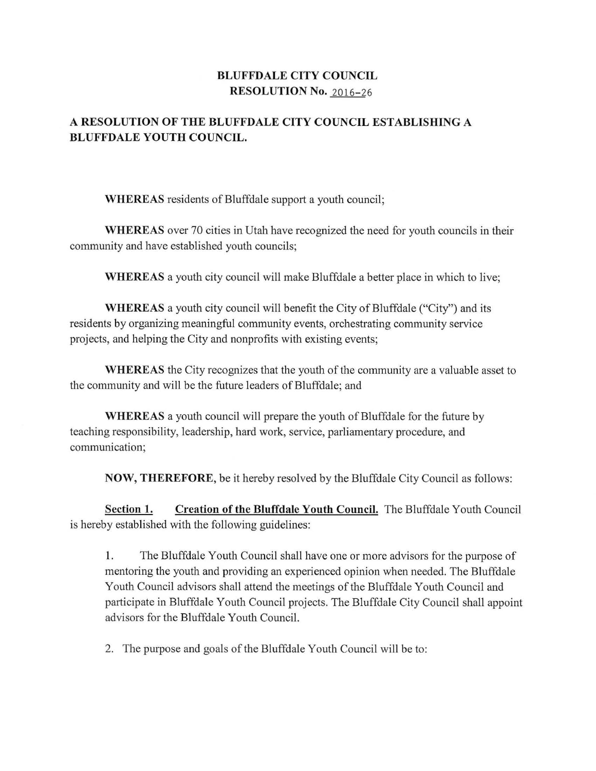## **BLUFFDALE CITY COUNCIL RESOLUTION No.** 2016-26

## **A RESOLUTION OF THE BLUFFDALE CITY COUNCIL ESTABLISHING A BLUFFDALE YOUTH COUNCIL.**

**WHEREAS** residents of Bluffdale support a youth council;

**WHEREAS** over 70 cities in Utah have recognized the need for youth councils in their community and have established youth councils;

**WHEREAS** a youth city council will make Bluffdale a better place in which to live;

**WHEREAS** a youth city council will benefit the City of Bluffdale ("City") and its residents by organizing meaningful community events, orchestrating community service projects, and helping the City and nonprofits with existing events;

**WHEREAS** the City recognizes that the youth of the community are a valuable asset to the community and will be the future leaders of Bluffdale; and

**WHEREAS** a youth council will prepare the youth of Bluffdale for the future by teaching responsibility, leadership, hard work, service, parliamentary procedure, and communication;

**NOW, THEREFORE,** be it hereby resolved by the Bluffdale City Council as follows:

**Section 1. Creation of the Bluffdale Youth Council.** The Bluffdale Youth Council is hereby established with the following guidelines:

1. The Bluffdale Youth Council shall have one or more advisors for the purpose of mentoring the youth and providing an experienced opinion when needed. The Bluffdale Youth Council advisors shall attend the meetings of the Bluffdale Youth Council and participate in Bluffdale Youth Council projects. The Bluffdale City Council shall appoint advisors for the Bluffdale Youth Council.

2. The purpose and goals of the Bluffdale Youth Council will be to: